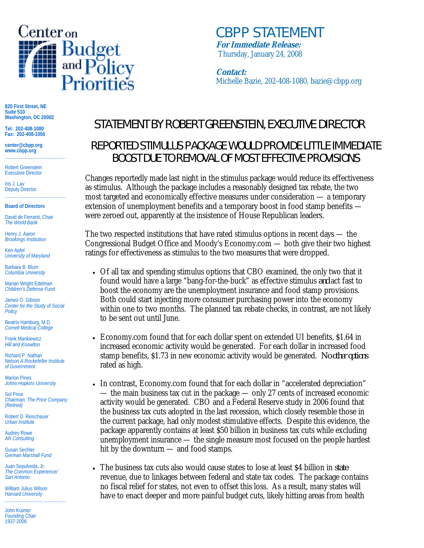

*CBPP STATEMENT* **For Immediate Release:** Thursday, January 24, 2008

**Contact:** Michelle Bazie, 202-408-1080, bazie@cbpp.org

**820 First Street, NE Suite 510 Washington, DC 20002** 

**Tel: 202-408-1080 Fax: 202-408-1056** 

**center@cbpp.org www.cbpp.org \_\_\_\_\_\_\_\_\_\_\_\_\_\_\_\_\_\_\_\_\_\_\_\_** 

Robert Greenstein Executive Director

Iris J. Lav Deputy Director **\_\_\_\_\_\_\_\_\_\_\_\_\_\_\_\_\_\_\_\_\_\_\_\_** 

## **Board of Directors**

David de Ferranti, Chair *The World Bank* 

Henry J. Aaron *Brookings Institution* 

Ken Apfel *University of Maryland* 

Barbara B. Blum *Columbia University* 

Marian Wright Edelman *Children's Defense Fund* 

James O. Gibson *Center for the Study of Social Policy* 

Beatrix Hamburg, M.D. *Cornell Medical College* 

Frank Mankiewicz *Hill and Knowlton* 

Richard P. Nathan *Nelson A Rockefeller Institute of Government* 

Marion Pines *Johns Hopkins University* 

Sol Price *Chairman, The Price Company (Retired)* 

Robert D. Reischauer *Urban Institute* 

Audrey Rowe *AR Consulting* 

Susan Sechler *German Marshall Fund* 

Juan Sepulveda, Jr. *The Common Experience/ San Antonio* 

William Julius Wilson *Harvard University*  **\_\_\_\_\_\_\_\_\_\_\_\_\_\_\_\_\_\_\_\_\_\_\_\_** 

John Kramer *Founding Chair*  1937-2006

## STATEMENT BY ROBERT GREENSTEIN, EXECUTIVE DIRECTOR

## REPORTED STIMULUS PACKAGE WOULD PROVIDE LITTLE IMMEDIATE BOOST DUE TO REMOVAL OF MOST EFFECTIVE PROVISIONS

Changes reportedly made last night in the stimulus package would reduce its effectiveness as stimulus. Although the package includes a reasonably designed tax rebate, the two most targeted and economically effective measures under consideration — a temporary extension of unemployment benefits and a temporary boost in food stamp benefits were zeroed out, apparently at the insistence of House Republican leaders.

The two respected institutions that have rated stimulus options in recent days — the Congressional Budget Office and Moody's Economy.com — both give their two highest ratings for effectiveness as stimulus to the two measures that were dropped.

- Of all tax and spending stimulus options that CBO examined, the only two that it found would have a large "bang-for-the-buck" as effective stimulus *and* act fast to boost the economy are the unemployment insurance and food stamp provisions. Both could start injecting more consumer purchasing power into the economy within one to two months. The planned tax rebate checks, in contrast, are not likely to be sent out until June.
- Economy.com found that for each dollar spent on extended UI benefits, \$1.64 in increased economic activity would be generated. For each dollar in increased food stamp benefits, \$1.73 in new economic activity would be generated. *No other options* rated as high.
- In contrast, Economy.com found that for each dollar in "accelerated depreciation" — the main business tax cut in the package — only 27 cents of increased economic activity would be generated. CBO and a Federal Reserve study in 2006 found that the business tax cuts adopted in the last recession, which closely resemble those in the current package, had only modest stimulative effects. Despite this evidence, the package apparently contains at least \$50 billion in business tax cuts while excluding unemployment insurance — the single measure most focused on the people hardest hit by the downturn — and food stamps.
- The business tax cuts also would cause states to lose at least \$4 billion in *state* revenue, due to linkages between federal and state tax codes. The package contains no fiscal relief for states, not even to offset this loss. As a result, many states will have to enact deeper and more painful budget cuts, likely hitting areas from health